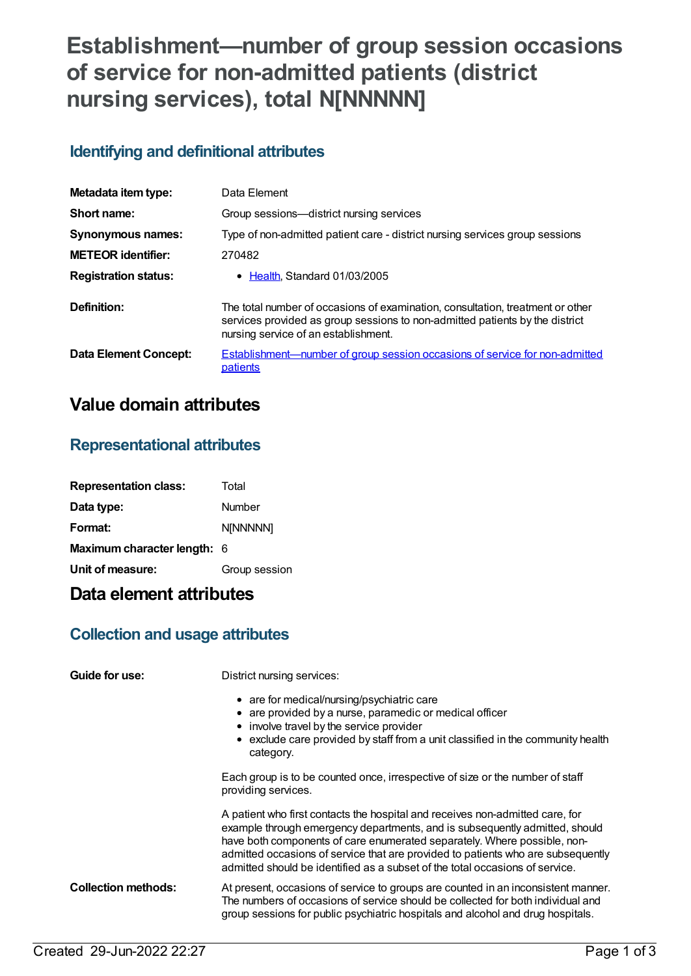# **Establishment—number of group session occasions of service for non-admitted patients (district nursing services), total N[NNNNN]**

## **Identifying and definitional attributes**

| Metadata item type:          | Data Element                                                                                                                                                                                           |
|------------------------------|--------------------------------------------------------------------------------------------------------------------------------------------------------------------------------------------------------|
| Short name:                  | Group sessions—district nursing services                                                                                                                                                               |
| <b>Synonymous names:</b>     | Type of non-admitted patient care - district nursing services group sessions                                                                                                                           |
| <b>METEOR</b> identifier:    | 270482                                                                                                                                                                                                 |
| <b>Registration status:</b>  | • Health, Standard 01/03/2005                                                                                                                                                                          |
| Definition:                  | The total number of occasions of examination, consultation, treatment or other<br>services provided as group sessions to non-admitted patients by the district<br>nursing service of an establishment. |
| <b>Data Element Concept:</b> | <b>Establishment—number of group session occasions of service for non-admitted</b><br>patients                                                                                                         |

## **Value domain attributes**

### **Representational attributes**

| <b>Representation class:</b>       | Total         |
|------------------------------------|---------------|
| Data type:                         | Number        |
| Format:                            | N[NNNNN]      |
| <b>Maximum character length: 6</b> |               |
| Unit of measure:                   | Group session |

## **Data element attributes**

### **Collection and usage attributes**

| Guide for use:             | District nursing services:                                                                                                                                                                                                                                                                                                                                                                                   |
|----------------------------|--------------------------------------------------------------------------------------------------------------------------------------------------------------------------------------------------------------------------------------------------------------------------------------------------------------------------------------------------------------------------------------------------------------|
|                            | • are for medical/nursing/psychiatric care<br>• are provided by a nurse, paramedic or medical officer<br>• involve travel by the service provider<br>• exclude care provided by staff from a unit classified in the community health<br>category.                                                                                                                                                            |
|                            | Each group is to be counted once, irrespective of size or the number of staff<br>providing services.                                                                                                                                                                                                                                                                                                         |
|                            | A patient who first contacts the hospital and receives non-admitted care, for<br>example through emergency departments, and is subsequently admitted, should<br>have both components of care enumerated separately. Where possible, non-<br>admitted occasions of service that are provided to patients who are subsequently<br>admitted should be identified as a subset of the total occasions of service. |
| <b>Collection methods:</b> | At present, occasions of service to groups are counted in an inconsistent manner.<br>The numbers of occasions of service should be collected for both individual and<br>group sessions for public psychiatric hospitals and alcohol and drug hospitals.                                                                                                                                                      |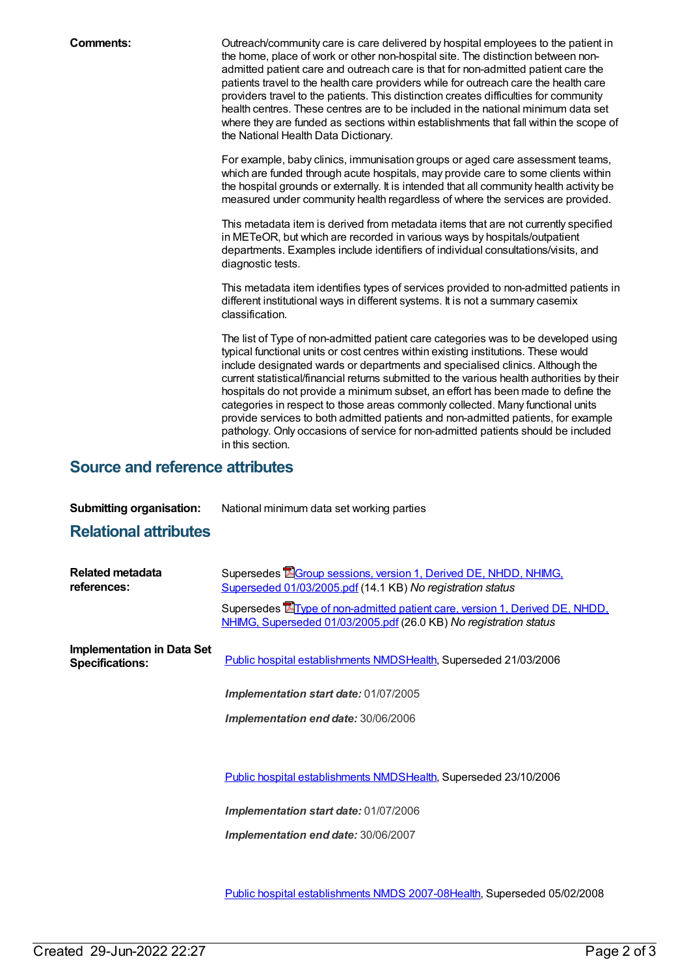**Comments:** Outreach/community care is care delivered by hospital employees to the patient in the home, place of work or other non-hospital site. The distinction between nonadmitted patient care and outreach care is that for non-admitted patient care the patients travel to the health care providers while for outreach care the health care providers travel to the patients. This distinction creates difficulties for community health centres. These centres are to be included in the national minimum data set where they are funded as sections within establishments that fall within the scope of the National Health Data Dictionary.

> For example, baby clinics, immunisation groups or aged care assessment teams, which are funded through acute hospitals, may provide care to some clients within the hospital grounds or externally. It is intended that all community health activity be measured under community health regardless of where the services are provided.

> This metadata item is derived from metadata items that are not currently specified in METeOR, but which are recorded in various ways by hospitals/outpatient departments. Examples include identifiers of individual consultations/visits, and diagnostic tests.

This metadata item identifies types of services provided to non-admitted patients in different institutional ways in different systems. It is not a summary casemix classification.

The list of Type of non-admitted patient care categories was to be developed using typical functional units or cost centres within existing institutions. These would include designated wards or departments and specialised clinics. Although the current statistical/financial returns submitted to the various health authorities by their hospitals do not provide a minimum subset, an effort has been made to define the categories in respect to those areas commonly collected. Many functional units provide services to both admitted patients and non-admitted patients, for example pathology. Only occasions of service for non-admitted patients should be included in this section.

#### **Source and reference attributes**

**Submitting organisation:** National minimum data set working parties

#### **Relational attributes**

| Related metadata<br>references:                             | Supersedes <b>E</b> Group sessions, version 1, Derived DE, NHDD, NHIMG,<br>Superseded 01/03/2005.pdf (14.1 KB) No registration status                    |
|-------------------------------------------------------------|----------------------------------------------------------------------------------------------------------------------------------------------------------|
|                                                             | Supersedes <b>E</b> Type of non-admitted patient care, version 1, Derived DE, NHDD,<br>NHIMG, Superseded 01/03/2005.pdf (26.0 KB) No registration status |
| <b>Implementation in Data Set</b><br><b>Specifications:</b> | Public hospital establishments NMDSHealth, Superseded 21/03/2006                                                                                         |
|                                                             | <b>Implementation start date: 01/07/2005</b>                                                                                                             |
|                                                             | <b>Implementation end date: 30/06/2006</b>                                                                                                               |
|                                                             |                                                                                                                                                          |
|                                                             | Public hospital establishments NMDSHealth, Superseded 23/10/2006                                                                                         |
|                                                             | <b>Implementation start date: 01/07/2006</b>                                                                                                             |

*Implementation end date:* 30/06/2007

Public hospital [establishments](https://meteor.aihw.gov.au/content/345139) NMDS 2007-08[Health](https://meteor.aihw.gov.au/RegistrationAuthority/12), Superseded 05/02/2008